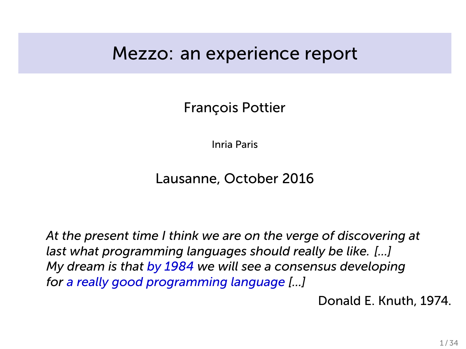### Mezzo: an experience report

François Pottier

Inria Paris

Lausanne, October 2016

*At the present time I think we are on the verge of discovering at last what programming languages should really be like. [...] My dream is that by 1984 we will see a consensus developing for a really good programming language [...]*

Donald E. Knuth, 1974.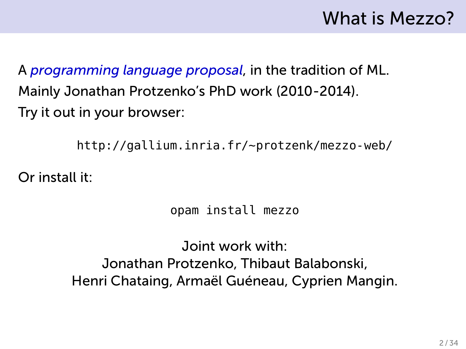# What is Mezzo?

A *programming language proposal*, in the tradition of ML. Mainly Jonathan Protzenko's PhD work (2010-2014). Try it out in your browser:

http://gallium.inria.fr/~protzenk/mezzo-web/

Or install it:

opam install mezzo

Joint work with: Jonathan Protzenko, Thibaut Balabonski, Henri Chataing, Armaël Guéneau, Cyprien Mangin.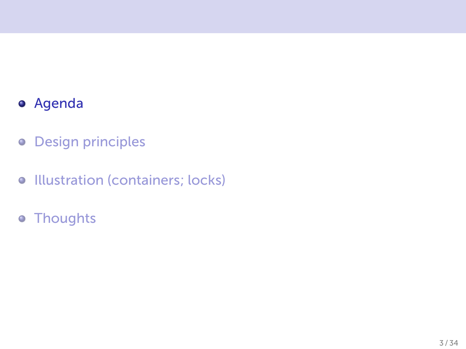### Agenda

- **o** Design principles
- **Illustration (containers; locks)**
- Thoughts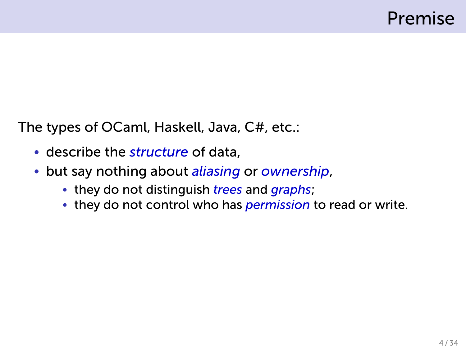The types of OCaml, Haskell, Java, C#, etc.:

- describe the *structure* of data,
- but say nothing about *aliasing* or *ownership*,
	- they do not distinguish *trees* and *graphs*;
	- they do not control who has *permission* to read or write.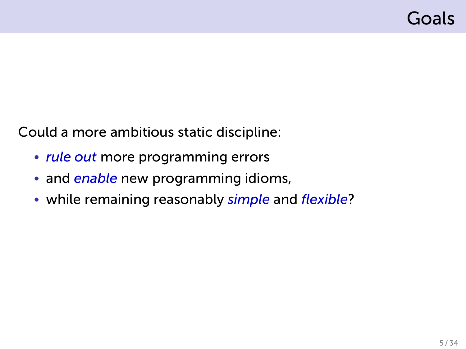Could a more ambitious static discipline:

- *rule out* more programming errors
- and *enable* new programming idioms,
- while remaining reasonably *simple* and *flexible*?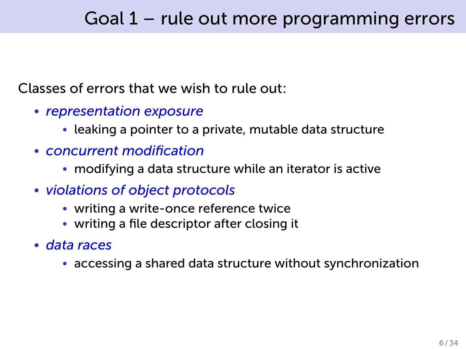### Goal 1 – rule out more programming errors

#### Classes of errors that we wish to rule out:

- *representation exposure*
	- leaking a pointer to a private, mutable data structure
- *concurrent modification*
	- modifying a data structure while an iterator is active
- *violations of object protocols*
	- writing a write-once reference twice
	- writing a file descriptor after closing it
- *data races*
	- accessing a shared data structure without synchronization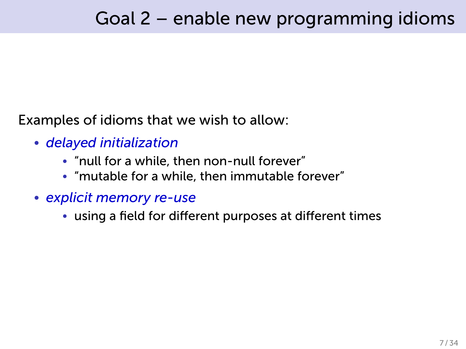Examples of idioms that we wish to allow:

- *delayed initialization*
	- "null for a while, then non-null forever"
	- "mutable for a while, then immutable forever"
- *explicit memory re-use*
	- using a field for different purposes at different times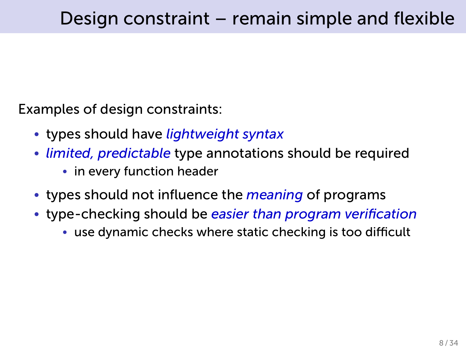Examples of design constraints:

- types should have *lightweight syntax*
- *limited, predictable* type annotations should be required
	- in every function header
- types should not influence the *meaning* of programs
- type-checking should be *easier than program verification*
	- use dynamic checks where static checking is too difficult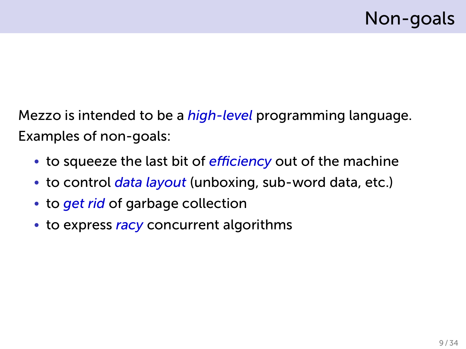Mezzo is intended to be a *high-level* programming language. Examples of non-goals:

- to squeeze the last bit of *efficiency* out of the machine
- to control *data layout* (unboxing, sub-word data, etc.)
- to *get rid* of garbage collection
- to express *racy* concurrent algorithms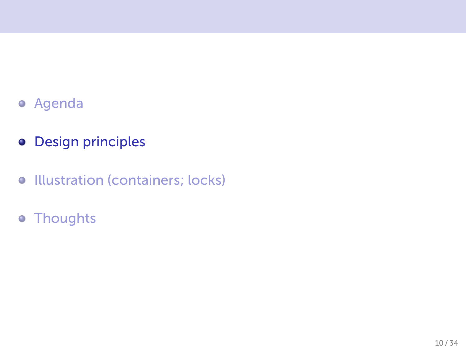- Agenda
- **o** Design principles
- **•** Illustration (containers; locks)
- Thoughts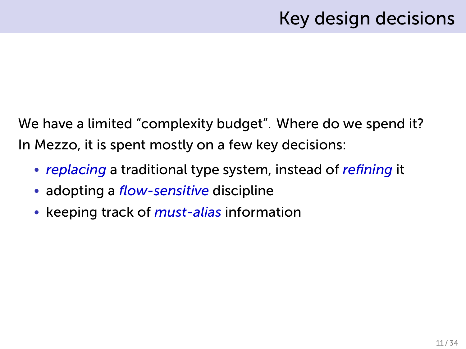## Key design decisions

We have a limited "complexity budget". Where do we spend it? In Mezzo, it is spent mostly on a few key decisions:

- *replacing* a traditional type system, instead of *refining* it
- adopting a *flow-sensitive* discipline
- keeping track of *must-alias* information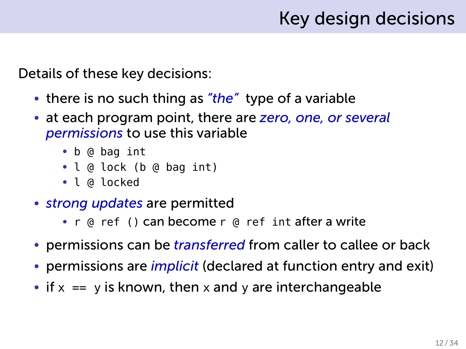## Key design decisions

Details of these key decisions:

- there is no such thing as *"the"* type of a variable
- at each program point, there are *zero, one, or several permissions* to use this variable
	- b @ bag int
	- l @ lock (b @ bag int)
	- l @ locked
- *strong updates* are permitted
	- r @ ref () can become r @ ref int after a write
- permissions can be *transferred* from caller to callee or back
- permissions are *implicit* (declared at function entry and exit)
- if  $x == y$  is known, then x and y are interchangeable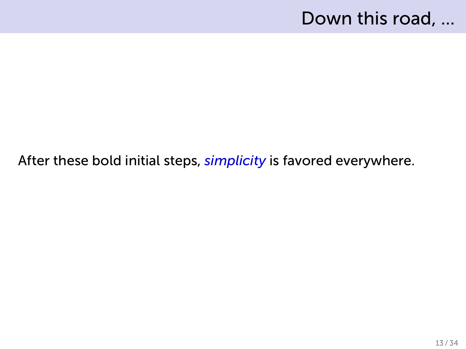### Down this road, ...

#### After these bold initial steps, *simplicity* is favored everywhere.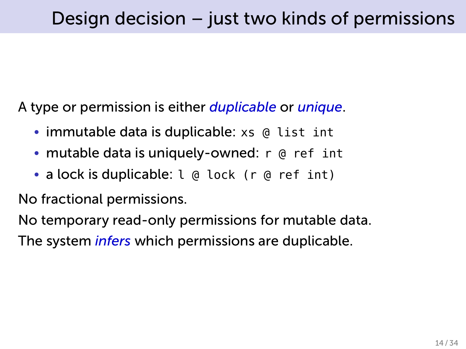A type or permission is either *duplicable* or *unique*.

- immutable data is duplicable: xs @ list int
- mutable data is uniquely-owned: r @ ref int
- a lock is duplicable: l @ lock (r @ ref int)

No fractional permissions.

No temporary read-only permissions for mutable data.

The system *infers* which permissions are duplicable.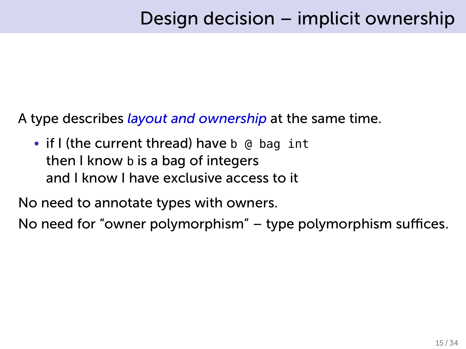A type describes *layout and ownership* at the same time.

• if I (the current thread) have b @ bag int then I know b is a bag of integers and I know I have exclusive access to it

No need to annotate types with owners.

No need for "owner polymorphism" – type polymorphism suffices.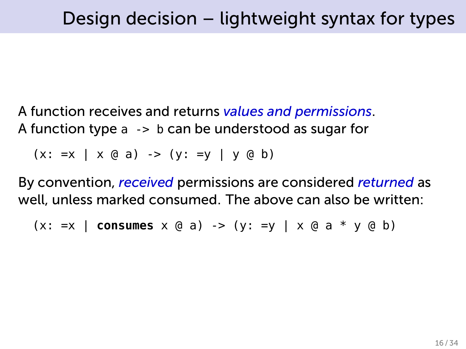A function receives and returns *values and permissions*. A function type a -> b can be understood as sugar for

 $(x: =x | x @ a) \rightarrow (y: =y | y @ b)$ 

By convention, *received* permissions are considered *returned* as well, unless marked consumed. The above can also be written:

 $(x: =x \mid \text{consumes } x \text{ @ a) -> (y: =y \mid x \text{ @ a * y \text{ @ b})}$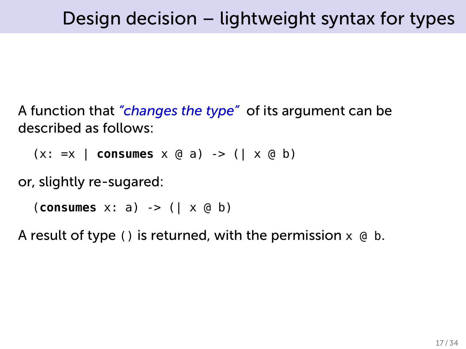A function that *"changes the type"* of its argument can be described as follows:

(x: =x | **consumes** x @ a) -> (| x @ b)

or, slightly re-sugared:

(**consumes** x: a) -> (| x @ b)

A result of type () is returned, with the permission  $x \oplus b$ .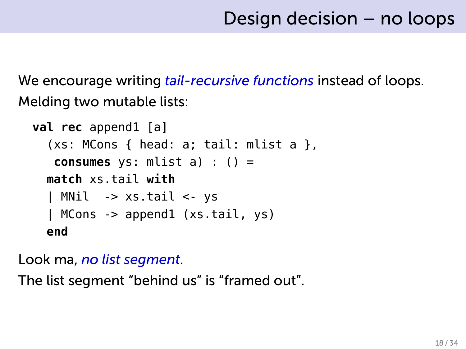We encourage writing *tail-recursive functions* instead of loops. Melding two mutable lists:

```
val rec append1 [a]
  (xs: MCons { head: a; tail: mlist a }consumes ys: mlist a) : () =
  match xs.tail with
  | MNil -> xs.tail <- ys
  | MCons -> append1 (xs.tail, ys)
  end
```
Look ma, *no list segment*.

The list segment "behind us" is "framed out".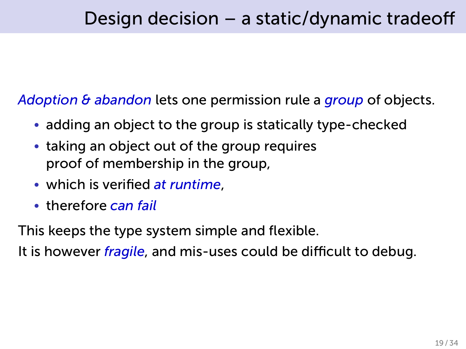*Adoption & abandon* lets one permission rule a *group* of objects.

- adding an object to the group is statically type-checked
- taking an object out of the group requires proof of membership in the group,
- which is verified *at runtime*,
- therefore *can fail*

This keeps the type system simple and flexible.

It is however *fragile*, and mis-uses could be difficult to debug.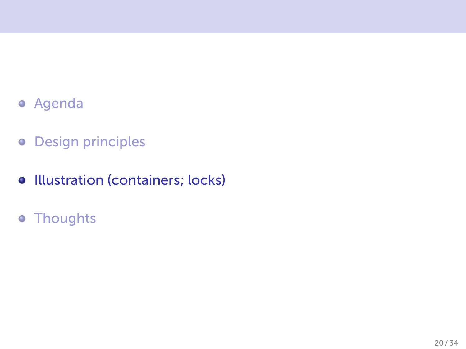- Agenda
- **o** Design principles
- **•** Illustration (containers; locks)
- Thoughts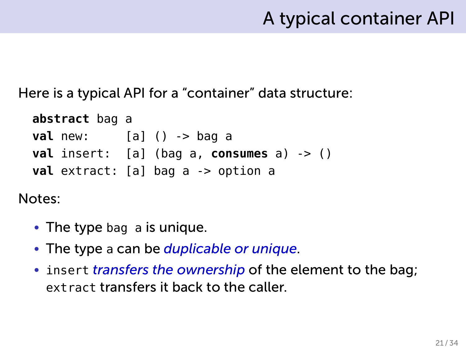### A typical container API

Here is a typical API for a "container" data structure:

```
abstract bag a
val new: [a] () -> bag a
val insert: [a] (bag a, consumes a) -> ()
val extract: [a] bag a -> option a
```
Notes:

- The type bag a is unique.
- The type a can be *duplicable or unique*.
- insert *transfers the ownership* of the element to the bag; extract transfers it back to the caller.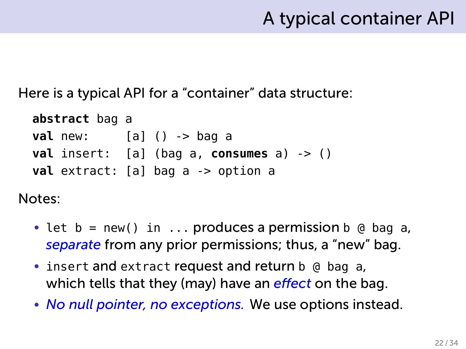### A typical container API

Here is a typical API for a "container" data structure:

```
abstract bag a
val new: [a] () -> bag a
val insert: [a] (bag a, consumes a) -> ()
val extract: [a] bag a -> option a
```
Notes:

- let  $b = new()$  in ... produces a permission  $b \oplus b$  ag a, *separate* from any prior permissions; thus, a "new" bag.
- insert and extract request and return b @ bag a, which tells that they (may) have an *effect* on the bag.
- *No null pointer, no exceptions.* We use options instead.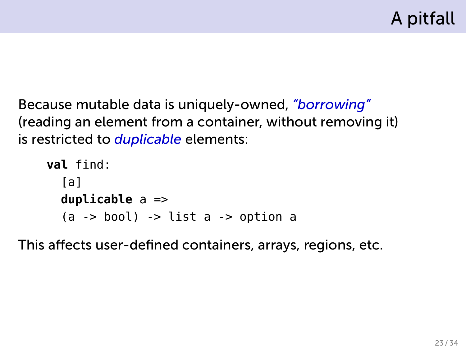Because mutable data is uniquely-owned, *"borrowing"* (reading an element from a container, without removing it) is restricted to *duplicable* elements:

```
val find:
  [a]
  duplicable a =>
  (a \rightarrow bool) -> list a \rightarrow option a
```
This affects user-defined containers, arrays, regions, etc.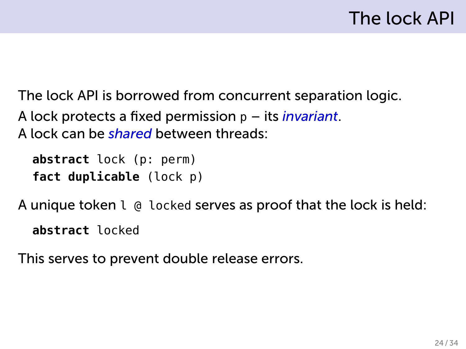The lock API is borrowed from concurrent separation logic. A lock protects a fixed permission p – its *invariant*. A lock can be *shared* between threads:

```
abstract lock (p: perm)
fact duplicable (lock p)
```
A unique token l @ locked serves as proof that the lock is held:

**abstract** locked

This serves to prevent double release errors.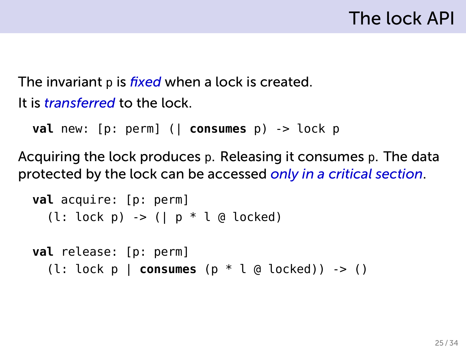The invariant p is *fixed* when a lock is created. It is *transferred* to the lock.

```
val new: [p: perm] (| consumes p) -> lock p
```
Acquiring the lock produces p. Releasing it consumes p. The data protected by the lock can be accessed *only in a critical section*.

```
val acquire: [p: perm]
  (l: lock p) -> (| p * l @ locked)
```

```
val release: [p: perm]
  (l: lock p | consumes (p * l @ locked)) -> ()
```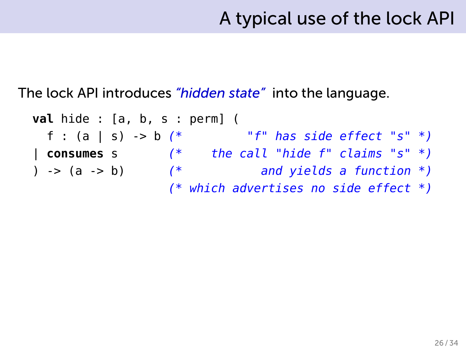The lock API introduces *"hidden state"* into the language.

**val** hide : [a, b, s : perm] ( f : (a | s) -> b *(\* "f" has side effect "s" \*)* | **consumes** s *(\* the call "hide f" claims "s" \*)* ) -> (a -> b) *(\* and yields a function \*) (\* which advertises no side effect \*)*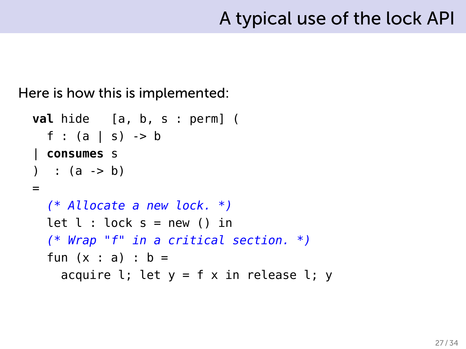Here is how this is implemented:

```
val hide [a, b, s : perm] (
  f : (a | s) -> b
| consumes s
) : (a \rightarrow b)=
  (* Allocate a new lock. *)
  let l : \text{lock } s = \text{new } () in
  (* Wrap "f" in a critical section. *)
  fun (x : a) : b =acquire l; let y = f x in release l; y
```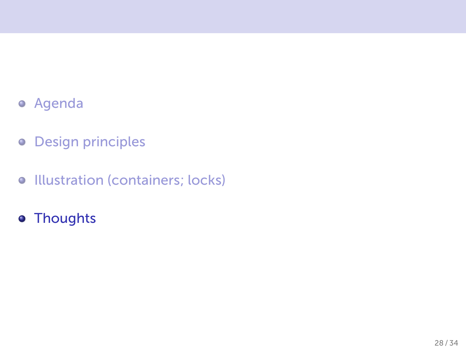- Agenda
- **o** Design principles
- **•** Illustration (containers; locks)
- Thoughts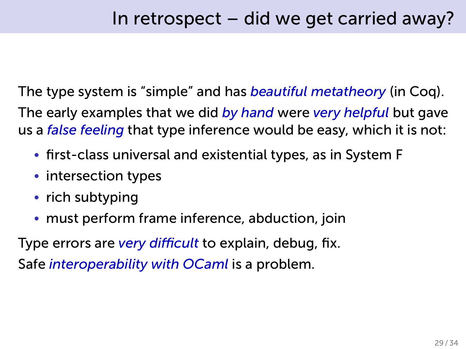The type system is "simple" and has *beautiful metatheory* (in Coq). The early examples that we did *by hand* were *very helpful* but gave us a *false feeling* that type inference would be easy, which it is not:

- first-class universal and existential types, as in System F
- intersection types
- rich subtyping
- must perform frame inference, abduction, join

Type errors are *very difficult* to explain, debug, fix. Safe *interoperability with OCaml* is a problem.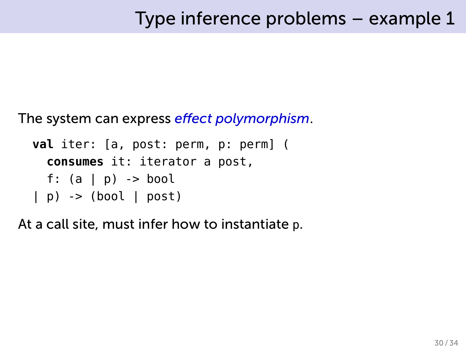The system can express *effect polymorphism*.

```
val iter: [a, post: perm, p: perm] (
  consumes it: iterator a post,
  f: (a | p) -> bool
| p) -> (bool | post)
```
At a call site, must infer how to instantiate p.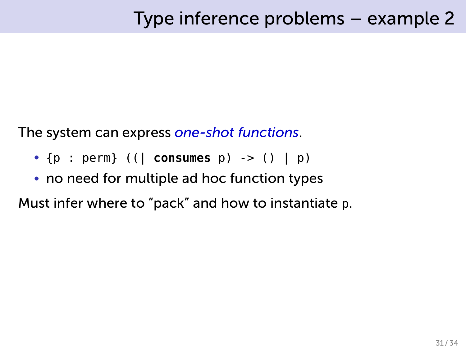The system can express *one-shot functions*.

- {p : perm} ((| **consumes** p) -> () | p)
- no need for multiple ad hoc function types

Must infer where to "pack" and how to instantiate p.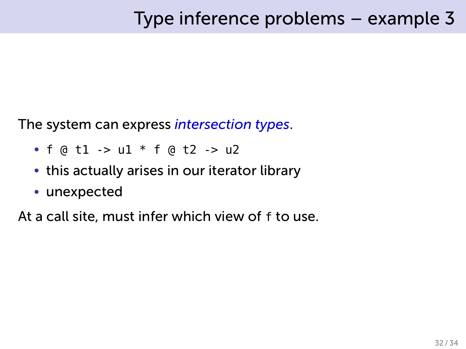The system can express *intersection types*.

- $f \circ d1 > u1 * f \circ d2 > u2$
- this actually arises in our iterator library
- unexpected

At a call site, must infer which view of f to use.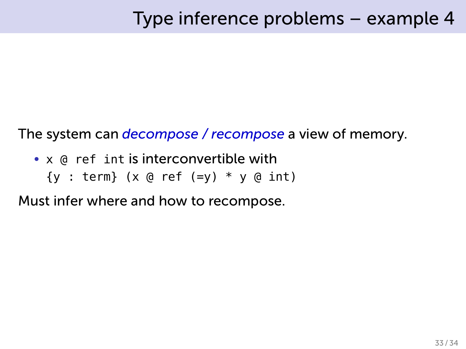The system can *decompose / recompose* a view of memory.

- x @ ref int is interconvertible with
	- ${y : term}$  (x @ ref (=y)  $*$  y @ int)

Must infer where and how to recompose.